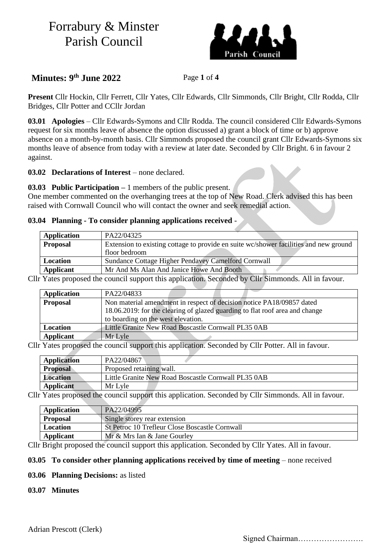

## **Minutes: 9 th June 2022** Page **1** of **4**

**Present** Cllr Hockin, Cllr Ferrett, Cllr Yates, Cllr Edwards, Cllr Simmonds, Cllr Bright, Cllr Rodda, Cllr Bridges, Cllr Potter and CCllr Jordan

**03.01 Apologies** – Cllr Edwards-Symons and Cllr Rodda. The council considered Cllr Edwards-Symons request for six months leave of absence the option discussed a) grant a block of time or b) approve absence on a month-by-month basis. Cllr Simmonds proposed the council grant Cllr Edwards-Symons six months leave of absence from today with a review at later date. Seconded by Cllr Bright. 6 in favour 2 against.

**03.02 Declarations of Interest** – none declared.

**03.03 Public Participation –** 1 members of the public present.

One member commented on the overhanging trees at the top of New Road. Clerk advised this has been raised with Cornwall Council who will contact the owner and seek remedial action.

#### **03.04 Planning - To consider planning applications received** -

| Application     | PA22/04325                                                                            |
|-----------------|---------------------------------------------------------------------------------------|
| <b>Proposal</b> | Extension to existing cottage to provide en suite wc/shower facilities and new ground |
|                 | floor bedroom                                                                         |
| Location        | Sundance Cottage Higher Pendavey Camelford Cornwall                                   |
| Applicant       | Mr And Ms Alan And Janice Howe And Booth                                              |
|                 |                                                                                       |

Cllr Yates proposed the council support this application. Seconded by Cllr Simmonds. All in favour.

| <b>Application</b> | PA22/04833                                                                   |  |
|--------------------|------------------------------------------------------------------------------|--|
| <b>Proposal</b>    | Non material amendment in respect of decision notice PA18/09857 dated        |  |
|                    | 18.06.2019: for the clearing of glazed guarding to flat roof area and change |  |
|                    | to boarding on the west elevation.                                           |  |
| Location           | Little Granite New Road Boscastle Cornwall PL35 0AB                          |  |
| <b>Applicant</b>   | Mr Lyle                                                                      |  |

Cllr Yates proposed the council support this application. Seconded by Cllr Potter. All in favour.

| <b>Application</b> | PA22/04867                                          |
|--------------------|-----------------------------------------------------|
| <b>Proposal</b>    | Proposed retaining wall.                            |
| <b>Location</b>    | Little Granite New Road Boscastle Cornwall PL35 0AB |
| <b>Applicant</b>   | Mr Lyle                                             |
| $ -$               | .<br>.<br>$\sim$ $\sim$ $\sim$ $\sim$<br>$\sim$     |

Cllr Yates proposed the council support this application. Seconded by Cllr Simmonds. All in favour.

| Application     | PA22/04995                                     |
|-----------------|------------------------------------------------|
| <b>Proposal</b> | Single storey rear extension                   |
| Location        | St Petroc 10 Trefleur Close Boscastle Cornwall |
| Applicant       | Mr & Mrs Ian & Jane Gourley                    |

Cllr Bright proposed the council support this application. Seconded by Cllr Yates. All in favour.

#### **03.05** To consider other planning applications received by time of meeting – none received

#### **03.06 Planning Decisions:** as listed

#### **03.07 Minutes**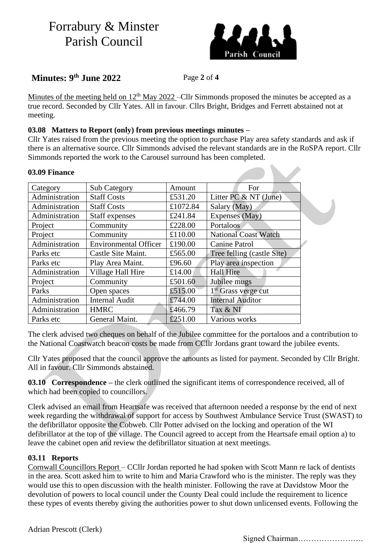

## **Minutes: 9 th June 2022** Page **2** of **4**

Minutes of the meeting held on  $12<sup>th</sup>$  May 2022 –Cllr Simmonds proposed the minutes be accepted as a true record. Seconded by Cllr Yates. All in favour. Cllrs Bright, Bridges and Ferrett abstained not at meeting.

### **03.08 Matters to Report (only) from previous meetings minutes –**

Cllr Yates raised from the previous meeting the option to purchase Play area safety standards and ask if there is an alternative source. Cllr Simmonds advised the relevant standards are in the RoSPA report. Cllr Simmonds reported the work to the Carousel surround has been completed.

| Category       | Sub Category                 | Amount   | For                         |
|----------------|------------------------------|----------|-----------------------------|
| Administration | <b>Staff Costs</b>           | £531.20  | Litter PC $& NT$ (June)     |
| Administration | <b>Staff Costs</b>           | £1072.84 | Salary (May)                |
| Administration | Staff expenses               | £241.84  | Expenses (May)              |
| Project        | Community                    | £228.00  | Portaloos                   |
| Project        | Community                    | £110.00  | <b>National Coast Watch</b> |
| Administration | <b>Environmental Officer</b> | £190.00  | <b>Canine Patrol</b>        |
| Parks etc      | Castle Site Maint.           | £565.00  | Tree felling (castle Site)  |
| Parks etc      | Play Area Maint.             | £96.60   | Play area inspection        |
| Administration | Village Hall Hire            | £14.00   | <b>Hall Hire</b>            |
| Project        | Community                    | £501.60  | Jubilee mugs                |
| Parks          | Open spaces                  | £515.00  | $1st$ Grass verge cut       |
| Administration | <b>Internal Audit</b>        | £744.00  | <b>Internal Auditor</b>     |
| Administration | <b>HMRC</b>                  | £466.79  | Tax & NI                    |
| Parks etc      | General Maint.               | £251.00  | Various works               |

#### **03.09 Finance**

The clerk advised two cheques on behalf of the Jubilee committee for the portaloos and a contribution to the National Coastwatch beacon costs be made from CCllr Jordans grant toward the jubilee events.

Cllr Yates proposed that the council approve the amounts as listed for payment. Seconded by Cllr Bright. All in favour. Cllr Simmonds abstained.

**03.10 Correspondence** – the clerk outlined the significant items of correspondence received, all of which had been copied to councillors.

Clerk advised an email from Heartsafe was received that afternoon needed a response by the end of next week regarding the withdrawal of support for access by Southwest Ambulance Service Trust (SWAST) to the defibrillator opposite the Cobweb. Cllr Potter advised on the locking and operation of the WI defibrillator at the top of the village. The Council agreed to accept from the Heartsafe email option a) to leave the cabinet open and review the defibrillator situation at next meetings.

## **03.11 Reports**

Cornwall Councillors Report – CCllr Jordan reported he had spoken with Scott Mann re lack of dentists in the area. Scott asked him to write to him and Maria Crawford who is the minister. The reply was they would use this to open discussion with the health minister. Following the rave at Davidstow Moor the devolution of powers to local council under the County Deal could include the requirement to licence these types of events thereby giving the authorities power to shut down unlicensed events. Following the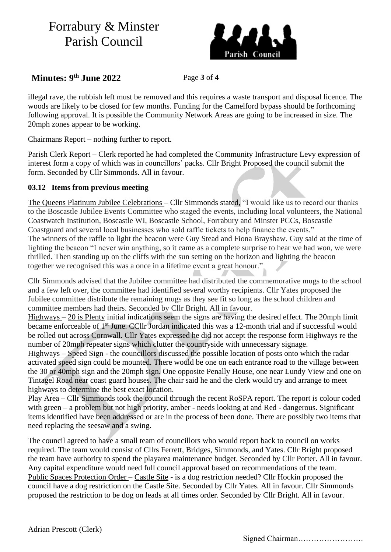

## **Minutes: 9 th June 2022** Page **3** of **4**

illegal rave, the rubbish left must be removed and this requires a waste transport and disposal licence. The woods are likely to be closed for few months. Funding for the Camelford bypass should be forthcoming following approval. It is possible the Community Network Areas are going to be increased in size. The 20mph zones appear to be working.

Chairmans Report – nothing further to report.

Parish Clerk Report – Clerk reported he had completed the Community Infrastructure Levy expression of interest form a copy of which was in councillors' packs. Cllr Bright Proposed the council submit the form. Seconded by Cllr Simmonds. All in favour.

### **03.12 Items from previous meeting**

The Queens Platinum Jubilee Celebrations – Cllr Simmonds stated, "I would like us to record our thanks to the Boscastle Jubilee Events Committee who staged the events, including local volunteers, the National Coastwatch Institution, Boscastle WI, Boscastle School, Forrabury and Minster PCCs, Boscastle Coastguard and several local businesses who sold raffle tickets to help finance the events." The winners of the raffle to light the beacon were Guy Stead and Fiona Brayshaw. Guy said at the time of lighting the beacon "I never win anything, so it came as a complete surprise to hear we had won, we were thrilled. Then standing up on the cliffs with the sun setting on the horizon and lighting the beacon together we recognised this was a once in a lifetime event a great honour."

Cllr Simmonds advised that the Jubilee committee had distributed the commemorative mugs to the school and a few left over, the committee had identified several worthy recipients. Cllr Yates proposed the Jubilee committee distribute the remaining mugs as they see fit so long as the school children and committee members had theirs. Seconded by Cllr Bright. All in favour.

Highways – 20 is Plenty initial indications seem the signs are having the desired effect. The 20mph limit became enforceable of 1st June. CCllr Jordan indicated this was a 12-month trial and if successful would be rolled out across Cornwall. Cllr Yates expressed he did not accept the response form Highways re the number of 20mph repeater signs which clutter the countryside with unnecessary signage.

Highways – Speed Sign - the councillors discussed the possible location of posts onto which the radar activated speed sign could be mounted. There would be one on each entrance road to the village between the 30 or 40mph sign and the 20mph sign. One opposite Penally House, one near Lundy View and one on Tintagel Road near coast guard houses. The chair said he and the clerk would try and arrange to meet highways to determine the best exact location.

Play Area – Cllr Simmonds took the council through the recent RoSPA report. The report is colour coded with green – a problem but not high priority, amber - needs looking at and Red - dangerous. Significant items identified have been addressed or are in the process of been done. There are possibly two items that need replacing the seesaw and a swing.

The council agreed to have a small team of councillors who would report back to council on works required. The team would consist of Cllrs Ferrett, Bridges, Simmonds, and Yates. Cllr Bright proposed the team have authority to spend the playarea maintenance budget. Seconded by Cllr Potter. All in favour. Any capital expenditure would need full council approval based on recommendations of the team. Public Spaces Protection Order – Castle Site - is a dog restriction needed? Cllr Hockin proposed the council have a dog restriction on the Castle Site. Seconded by Cllr Yates. All in favour. Cllr Simmonds proposed the restriction to be dog on leads at all times order. Seconded by Cllr Bright. All in favour.